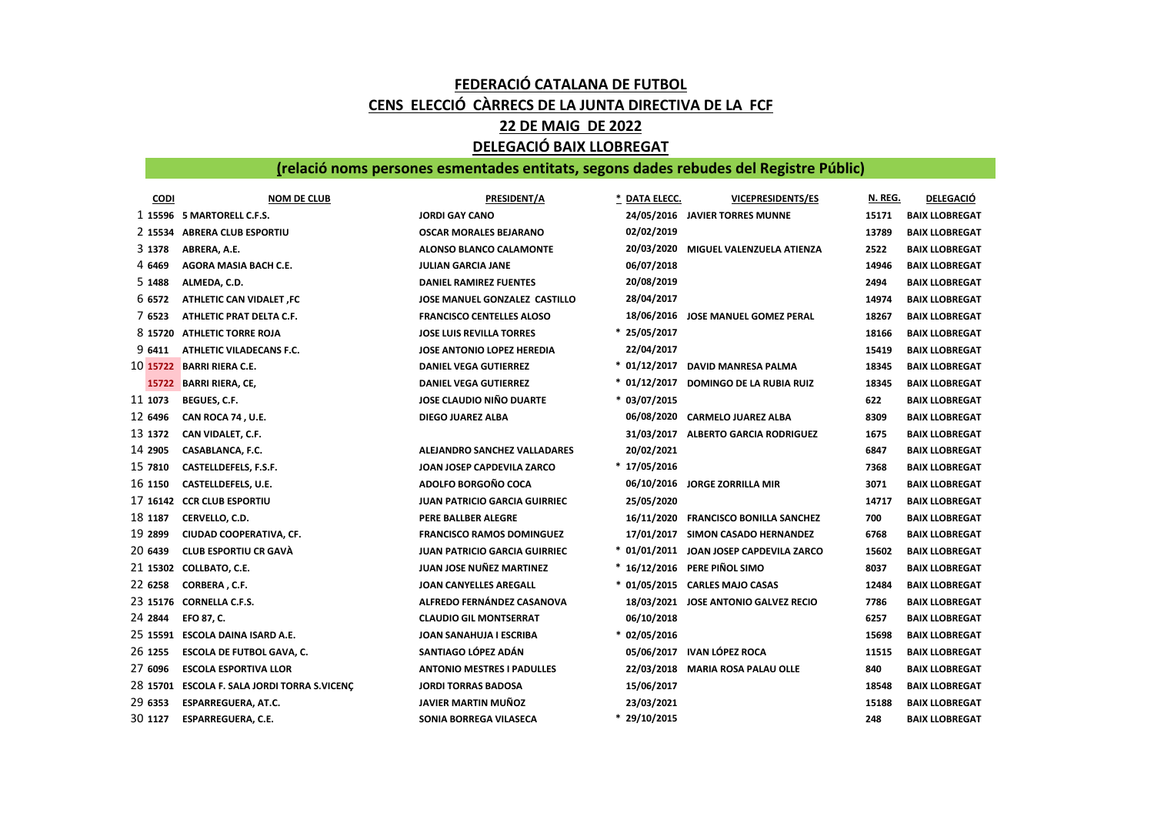## FEDERACIÓ CATALANA DE FUTBOL CENS ELECCIÓ CÀRRECS DE LA JUNTA DIRECTIVA DE LA FCF 22 DE MAIG DE 2022 DELEGACIÓ BAIX LLOBREGAT

## (relació noms persones esmentades entitats, segons dades rebudes del Registre Públic)

| <b>CODI</b> | <b>NOM DE CLUB</b>                         | PRESIDENT/A                          | DATA ELECC.    | <b>VICEPRESIDENTS/ES</b>                | N. REG. | <b>DELEGACIÓ</b>      |
|-------------|--------------------------------------------|--------------------------------------|----------------|-----------------------------------------|---------|-----------------------|
|             | 1 15596 5 MARTORELL C.F.S.                 | <b>JORDI GAY CANO</b>                |                | 24/05/2016 JAVIER TORRES MUNNE          | 15171   | <b>BAIX LLOBREGAT</b> |
|             | 2 15534 ABRERA CLUB ESPORTIU               | <b>OSCAR MORALES BEJARANO</b>        | 02/02/2019     |                                         | 13789   | <b>BAIX LLOBREGAT</b> |
| 3 1378      | ABRERA, A.E.                               | <b>ALONSO BLANCO CALAMONTE</b>       | 20/03/2020     | MIGUEL VALENZUELA ATIENZA               | 2522    | <b>BAIX LLOBREGAT</b> |
| 4 6469      | AGORA MASIA BACH C.E.                      | <b>JULIAN GARCIA JANE</b>            | 06/07/2018     |                                         | 14946   | <b>BAIX LLOBREGAT</b> |
| 5 1488      | ALMEDA, C.D.                               | <b>DANIEL RAMIREZ FUENTES</b>        | 20/08/2019     |                                         | 2494    | <b>BAIX LLOBREGAT</b> |
| 6 6572      | <b>ATHLETIC CAN VIDALET, FC</b>            | <b>JOSE MANUEL GONZALEZ CASTILLO</b> | 28/04/2017     |                                         | 14974   | <b>BAIX LLOBREGAT</b> |
| 7 6523      | ATHLETIC PRAT DELTA C.F.                   | <b>FRANCISCO CENTELLES ALOSO</b>     | 18/06/2016     | JOSE MANUEL GOMEZ PERAL                 | 18267   | <b>BAIX LLOBREGAT</b> |
| 8 15720     | <b>ATHLETIC TORRE ROJA</b>                 | <b>JOSE LUIS REVILLA TORRES</b>      | $* 25/05/2017$ |                                         | 18166   | <b>BAIX LLOBREGAT</b> |
| 9 6411      | ATHLETIC VILADECANS F.C.                   | JOSE ANTONIO LOPEZ HEREDIA           | 22/04/2017     |                                         | 15419   | <b>BAIX LLOBREGAT</b> |
|             | 10 15722 BARRI RIERA C.E.                  | <b>DANIEL VEGA GUTIERREZ</b>         | $*$ 01/12/2017 | DAVID MANRESA PALMA                     | 18345   | <b>BAIX LLOBREGAT</b> |
|             | 15722 BARRI RIERA, CE,                     | <b>DANIEL VEGA GUTIERREZ</b>         | $* 01/12/2017$ | <b>DOMINGO DE LA RUBIA RUIZ</b>         | 18345   | <b>BAIX LLOBREGAT</b> |
| 11 1073     | BEGUES, C.F.                               | <b>JOSE CLAUDIO NIÑO DUARTE</b>      | $* 03/07/2015$ |                                         | 622     | <b>BAIX LLOBREGAT</b> |
| 12 6496     | CAN ROCA 74, U.E.                          | <b>DIEGO JUAREZ ALBA</b>             | 06/08/2020     | <b>CARMELO JUAREZ ALBA</b>              | 8309    | <b>BAIX LLOBREGAT</b> |
| 13 1372     | CAN VIDALET, C.F.                          |                                      | 31/03/2017     | <b>ALBERTO GARCIA RODRIGUEZ</b>         | 1675    | <b>BAIX LLOBREGAT</b> |
| 14 2905     | CASABLANCA, F.C.                           | <b>ALEJANDRO SANCHEZ VALLADARES</b>  | 20/02/2021     |                                         | 6847    | <b>BAIX LLOBREGAT</b> |
| 15 7810     | CASTELLDEFELS, F.S.F.                      | JOAN JOSEP CAPDEVILA ZARCO           | $* 17/05/2016$ |                                         | 7368    | <b>BAIX LLOBREGAT</b> |
| 16 1150     | CASTELLDEFELS, U.E.                        | <b>ADOLFO BORGOÑO COCA</b>           | 06/10/2016     | <b>JORGE ZORRILLA MIR</b>               | 3071    | <b>BAIX LLOBREGAT</b> |
|             | 17 16142 CCR CLUB ESPORTIU                 | <b>JUAN PATRICIO GARCIA GUIRRIEC</b> | 25/05/2020     |                                         | 14717   | <b>BAIX LLOBREGAT</b> |
| 18 1187     | CERVELLO, C.D.                             | PERE BALLBER ALEGRE                  | 16/11/2020     | <b>FRANCISCO BONILLA SANCHEZ</b>        | 700     | <b>BAIX LLOBREGAT</b> |
| 19 2899     | CIUDAD COOPERATIVA, CF.                    | <b>FRANCISCO RAMOS DOMINGUEZ</b>     | 17/01/2017     | SIMON CASADO HERNANDEZ                  | 6768    | <b>BAIX LLOBREGAT</b> |
| 20 6439     | <b>CLUB ESPORTIU CR GAVÀ</b>               | <b>JUAN PATRICIO GARCIA GUIRRIEC</b> |                | * 01/01/2011 JOAN JOSEP CAPDEVILA ZARCO | 15602   | <b>BAIX LLOBREGAT</b> |
|             | 21 15302 COLLBATO, C.E.                    | JUAN JOSE NUÑEZ MARTINEZ             | $*16/12/2016$  | PERE PIÑOL SIMO                         | 8037    | <b>BAIX LLOBREGAT</b> |
| 22 6258     | CORBERA, C.F.                              | <b>JOAN CANYELLES AREGALL</b>        |                | * 01/05/2015 CARLES MAJO CASAS          | 12484   | <b>BAIX LLOBREGAT</b> |
|             | 23 15176 CORNELLA C.F.S.                   | ALFREDO FERNÁNDEZ CASANOVA           |                | 18/03/2021 JOSE ANTONIO GALVEZ RECIO    | 7786    | <b>BAIX LLOBREGAT</b> |
| 24 2844     | EFO 87, C.                                 | <b>CLAUDIO GIL MONTSERRAT</b>        | 06/10/2018     |                                         | 6257    | <b>BAIX LLOBREGAT</b> |
| 25 15591    | <b>ESCOLA DAINA ISARD A.E.</b>             | JOAN SANAHUJA I ESCRIBA              | $*$ 02/05/2016 |                                         | 15698   | <b>BAIX LLOBREGAT</b> |
| 26 1255     | <b>ESCOLA DE FUTBOL GAVA, C.</b>           | SANTIAGO LÓPEZ ADÁN                  |                | 05/06/2017 IVAN LÓPEZ ROCA              | 11515   | <b>BAIX LLOBREGAT</b> |
| 27 6096     | <b>ESCOLA ESPORTIVA LLOR</b>               | <b>ANTONIO MESTRES I PADULLES</b>    |                | 22/03/2018 MARIA ROSA PALAU OLLE        | 840     | <b>BAIX LLOBREGAT</b> |
| 28 15701    | <b>ESCOLA F. SALA JORDI TORRA S.VICENÇ</b> | <b>JORDI TORRAS BADOSA</b>           | 15/06/2017     |                                         | 18548   | <b>BAIX LLOBREGAT</b> |
| 29 6353     | <b>ESPARREGUERA, AT.C.</b>                 | JAVIER MARTIN MUÑOZ                  | 23/03/2021     |                                         | 15188   | <b>BAIX LLOBREGAT</b> |
| 30 1127     | <b>ESPARREGUERA, C.E.</b>                  | SONIA BORREGA VILASECA               | $* 29/10/2015$ |                                         | 248     | <b>BAIX LLOBREGAT</b> |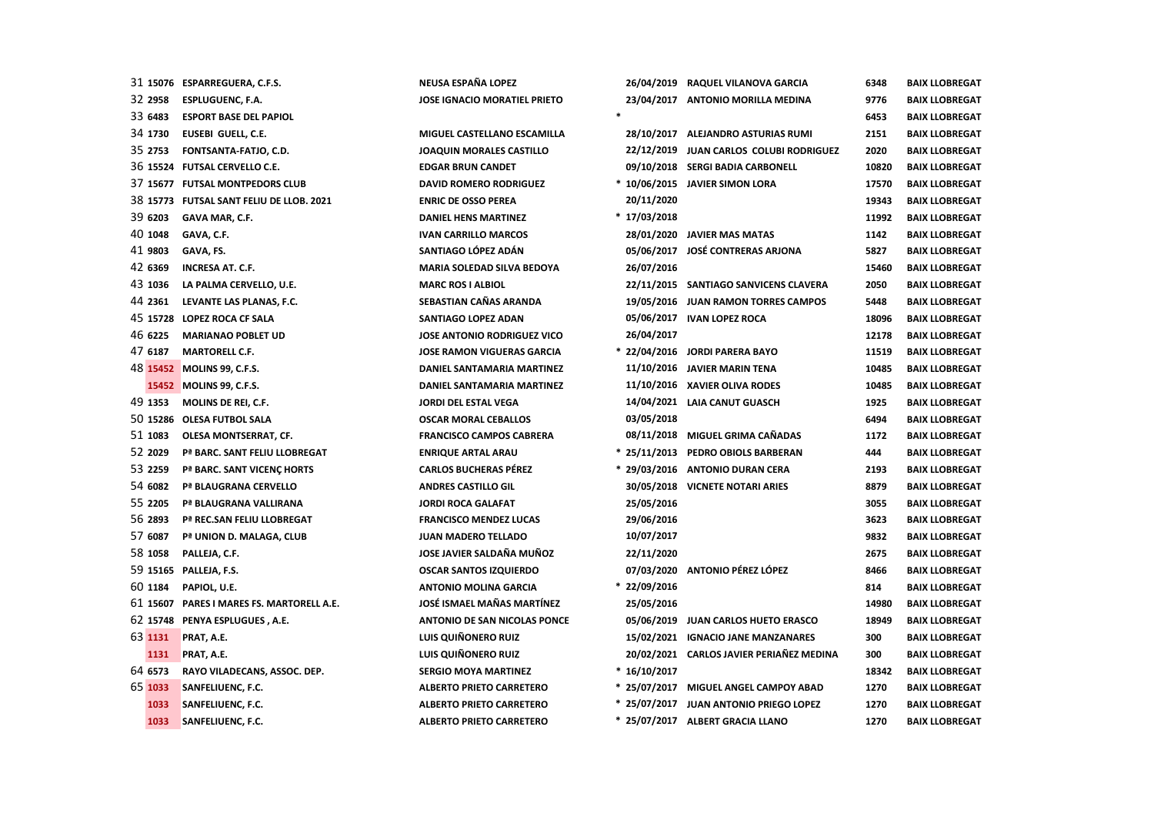|         | 31 15076 ESPARREGUERA, C.F.S.             | NEUSA ESPAÑA LOPEZ                  |               | 26/04/2019 RAQUEL VILANOVA GARCIA        | 6348  | <b>BAIX LLOBREGAT</b> |
|---------|-------------------------------------------|-------------------------------------|---------------|------------------------------------------|-------|-----------------------|
| 32 2958 | <b>ESPLUGUENC, F.A.</b>                   | <b>JOSE IGNACIO MORATIEL PRIETO</b> |               | 23/04/2017 ANTONIO MORILLA MEDINA        | 9776  | <b>BAIX LLOBREGAT</b> |
| 33 6483 | <b>ESPORT BASE DEL PAPIOL</b>             |                                     |               |                                          | 6453  | <b>BAIX LLOBREGAT</b> |
| 34 1730 | EUSEBI GUELL, C.E.                        | MIGUEL CASTELLANO ESCAMILLA         |               | 28/10/2017 ALEJANDRO ASTURIAS RUMI       | 2151  | <b>BAIX LLOBREGAT</b> |
| 35 2753 | FONTSANTA-FATJO, C.D.                     | <b>JOAQUIN MORALES CASTILLO</b>     | 22/12/2019    | JUAN CARLOS COLUBI RODRIGUEZ             | 2020  | <b>BAIX LLOBREGAT</b> |
|         | 36 15524 FUTSAL CERVELLO C.E.             | <b>EDGAR BRUN CANDET</b>            |               | 09/10/2018 SERGI BADIA CARBONELL         | 10820 | <b>BAIX LLOBREGAT</b> |
|         | 37 15677 FUTSAL MONTPEDORS CLUB           | <b>DAVID ROMERO RODRIGUEZ</b>       |               | * 10/06/2015 JAVIER SIMON LORA           | 17570 | <b>BAIX LLOBREGAT</b> |
|         | 38 15773 FUTSAL SANT FELIU DE LLOB. 2021  | <b>ENRIC DE OSSO PEREA</b>          | 20/11/2020    |                                          | 19343 | <b>BAIX LLOBREGAT</b> |
| 39 6203 | GAVA MAR, C.F.                            | <b>DANIEL HENS MARTINEZ</b>         | $*17/03/2018$ |                                          | 11992 | <b>BAIX LLOBREGAT</b> |
| 40 1048 | GAVA, C.F.                                | <b>IVAN CARRILLO MARCOS</b>         |               | 28/01/2020 JAVIER MAS MATAS              | 1142  | <b>BAIX LLOBREGAT</b> |
| 41 9803 | GAVA, FS.                                 | SANTIAGO LÓPEZ ADÁN                 |               | 05/06/2017 JOSÉ CONTRERAS ARJONA         | 5827  | <b>BAIX LLOBREGAT</b> |
| 42 6369 | <b>INCRESA AT. C.F.</b>                   | <b>MARIA SOLEDAD SILVA BEDOYA</b>   | 26/07/2016    |                                          | 15460 | <b>BAIX LLOBREGAT</b> |
| 43 1036 | LA PALMA CERVELLO, U.E.                   | <b>MARC ROS I ALBIOL</b>            |               | 22/11/2015 SANTIAGO SANVICENS CLAVERA    | 2050  | <b>BAIX LLOBREGAT</b> |
| 44 2361 | LEVANTE LAS PLANAS, F.C.                  | SEBASTIAN CAÑAS ARANDA              |               | 19/05/2016 JUAN RAMON TORRES CAMPOS      | 5448  | <b>BAIX LLOBREGAT</b> |
|         | 45 15728 LOPEZ ROCA CF SALA               | SANTIAGO LOPEZ ADAN                 |               | 05/06/2017 IVAN LOPEZ ROCA               | 18096 | <b>BAIX LLOBREGAT</b> |
| 46 6225 | <b>MARIANAO POBLET UD</b>                 | <b>JOSE ANTONIO RODRIGUEZ VICO</b>  | 26/04/2017    |                                          | 12178 | <b>BAIX LLOBREGAT</b> |
| 47 6187 | <b>MARTORELL C.F.</b>                     | <b>JOSE RAMON VIGUERAS GARCIA</b>   |               | * 22/04/2016 JORDI PARERA BAYO           | 11519 | <b>BAIX LLOBREGAT</b> |
|         | 48 15452 MOLINS 99, C.F.S.                | DANIEL SANTAMARIA MARTINEZ          |               | 11/10/2016 JAVIER MARIN TENA             | 10485 | <b>BAIX LLOBREGAT</b> |
|         | 15452 MOLINS 99, C.F.S.                   | <b>DANIEL SANTAMARIA MARTINEZ</b>   |               | 11/10/2016 XAVIER OLIVA RODES            | 10485 | <b>BAIX LLOBREGAT</b> |
| 49 1353 | MOLINS DE REI, C.F.                       | <b>JORDI DEL ESTAL VEGA</b>         |               | 14/04/2021 LAIA CANUT GUASCH             | 1925  | <b>BAIX LLOBREGAT</b> |
|         | 50 15286 OLESA FUTBOL SALA                | <b>OSCAR MORAL CEBALLOS</b>         | 03/05/2018    |                                          | 6494  | <b>BAIX LLOBREGAT</b> |
| 51 1083 | <b>OLESA MONTSERRAT, CF.</b>              | <b>FRANCISCO CAMPOS CABRERA</b>     |               | 08/11/2018 MIGUEL GRIMA CAÑADAS          | 1172  | <b>BAIX LLOBREGAT</b> |
| 52 2029 | Pª BARC. SANT FELIU LLOBREGAT             | <b>ENRIQUE ARTAL ARAU</b>           |               | * 25/11/2013 PEDRO OBIOLS BARBERAN       | 444   | <b>BAIX LLOBREGAT</b> |
| 53 2259 | Pª BARC. SANT VICENÇ HORTS                | <b>CARLOS BUCHERAS PÉREZ</b>        |               | * 29/03/2016 ANTONIO DURAN CERA          | 2193  | <b>BAIX LLOBREGAT</b> |
| 54 6082 | Pª BLAUGRANA CERVELLO                     | <b>ANDRES CASTILLO GIL</b>          |               | 30/05/2018 VICNETE NOTARI ARIES          | 8879  | <b>BAIX LLOBREGAT</b> |
| 55 2205 | Pª BLAUGRANA VALLIRANA                    | <b>JORDI ROCA GALAFAT</b>           | 25/05/2016    |                                          | 3055  | <b>BAIX LLOBREGAT</b> |
| 56 2893 | Pª REC.SAN FELIU LLOBREGAT                | <b>FRANCISCO MENDEZ LUCAS</b>       | 29/06/2016    |                                          | 3623  | <b>BAIX LLOBREGAT</b> |
| 57 6087 | Pª UNION D. MALAGA, CLUB                  | <b>JUAN MADERO TELLADO</b>          | 10/07/2017    |                                          | 9832  | <b>BAIX LLOBREGAT</b> |
| 58 1058 | PALLEJA, C.F.                             | JOSE JAVIER SALDAÑA MUÑOZ           | 22/11/2020    |                                          | 2675  | <b>BAIX LLOBREGAT</b> |
|         | 59 15165 PALLEJA, F.S.                    | <b>OSCAR SANTOS IZQUIERDO</b>       |               | 07/03/2020 ANTONIO PÉREZ LÓPEZ           | 8466  | <b>BAIX LLOBREGAT</b> |
| 60 1184 | PAPIOL, U.E.                              | <b>ANTONIO MOLINA GARCIA</b>        | * 22/09/2016  |                                          | 814   | <b>BAIX LLOBREGAT</b> |
|         | 61 15607 PARES I MARES FS. MARTORELL A.E. | JOSÉ ISMAEL MAÑAS MARTÍNEZ          | 25/05/2016    |                                          | 14980 | <b>BAIX LLOBREGAT</b> |
|         | 62 15748 PENYA ESPLUGUES, A.E.            | ANTONIO DE SAN NICOLAS PONCE        |               | 05/06/2019 JUAN CARLOS HUETO ERASCO      | 18949 | <b>BAIX LLOBREGAT</b> |
| 63 1131 | PRAT, A.E.                                | LUIS QUIÑONERO RUIZ                 |               | 15/02/2021 IGNACIO JANE MANZANARES       | 300   | <b>BAIX LLOBREGAT</b> |
| 1131    | PRAT, A.E.                                | LUIS QUIÑONERO RUIZ                 |               | 20/02/2021 CARLOS JAVIER PERIAÑEZ MEDINA | 300   | <b>BAIX LLOBREGAT</b> |
| 64 6573 | RAYO VILADECANS, ASSOC. DEP.              | <b>SERGIO MOYA MARTINEZ</b>         | $*16/10/2017$ |                                          | 18342 | <b>BAIX LLOBREGAT</b> |
| 65 1033 | <b>SANFELIUENC, F.C.</b>                  | <b>ALBERTO PRIETO CARRETERO</b>     |               | * 25/07/2017 MIGUEL ANGEL CAMPOY ABAD    | 1270  | <b>BAIX LLOBREGAT</b> |
| 1033    | SANFELIUENC, F.C.                         | <b>ALBERTO PRIETO CARRETERO</b>     |               | * 25/07/2017 JUAN ANTONIO PRIEGO LOPEZ   | 1270  | <b>BAIX LLOBREGAT</b> |
| 1033    | <b>SANFELIUENC, F.C.</b>                  | <b>ALBERTO PRIETO CARRETERO</b>     |               | * 25/07/2017 ALBERT GRACIA LLANO         | 1270  | <b>BAIX LLOBREGAT</b> |
|         |                                           |                                     |               |                                          |       |                       |

|               | 26/04/2019 RAQUEL VILANOVA GARCIA        | 6348  | <b>BAIX LLOBREGAT</b> |
|---------------|------------------------------------------|-------|-----------------------|
|               | 23/04/2017 ANTONIO MORILLA MEDINA        | 9776  | <b>BAIX LLOBREGAT</b> |
|               |                                          | 6453  | <b>BAIX LLOBREGAT</b> |
|               | 28/10/2017 ALEJANDRO ASTURIAS RUMI       | 2151  | <b>BAIX LLOBREGAT</b> |
|               | 22/12/2019 JUAN CARLOS COLUBI RODRIGUEZ  | 2020  | <b>BAIX LLOBREGAT</b> |
|               | 09/10/2018 SERGI BADIA CARBONELL         | 10820 | <b>BAIX LLOBREGAT</b> |
|               | * 10/06/2015 JAVIER SIMON LORA           | 17570 | <b>BAIX LLOBREGAT</b> |
| 20/11/2020    |                                          | 19343 | <b>BAIX LLOBREGAT</b> |
| * 17/03/2018  |                                          | 11992 | <b>BAIX LLOBREGAT</b> |
|               | 28/01/2020 JAVIER MAS MATAS              | 1142  | <b>BAIX LLOBREGAT</b> |
|               | 05/06/2017 JOSÉ CONTRERAS ARJONA         | 5827  | <b>BAIX LLOBREGAT</b> |
| 26/07/2016    |                                          | 15460 | <b>BAIX LLOBREGAT</b> |
|               | 22/11/2015 SANTIAGO SANVICENS CLAVERA    | 2050  | <b>BAIX LLOBREGAT</b> |
|               | 19/05/2016 JUAN RAMON TORRES CAMPOS      | 5448  | <b>BAIX LLOBREGAT</b> |
|               | 05/06/2017 IVAN LOPEZ ROCA               | 18096 | <b>BAIX LLOBREGAT</b> |
| 26/04/2017    |                                          | 12178 | <b>BAIX LLOBREGAT</b> |
|               | * 22/04/2016 JORDI PARERA BAYO           | 11519 | <b>BAIX LLOBREGAT</b> |
|               | 11/10/2016 JAVIER MARIN TENA             | 10485 | <b>BAIX LLOBREGAT</b> |
|               | 11/10/2016 XAVIER OLIVA RODES            | 10485 | <b>BAIX LLOBREGAT</b> |
|               | 14/04/2021 LAIA CANUT GUASCH             | 1925  | <b>BAIX LLOBREGAT</b> |
| 03/05/2018    |                                          | 6494  | <b>BAIX LLOBREGAT</b> |
|               | 08/11/2018 MIGUEL GRIMA CAÑADAS          | 1172  | <b>BAIX LLOBREGAT</b> |
|               | * 25/11/2013 PEDRO OBIOLS BARBERAN       | 444   | <b>BAIX LLOBREGAT</b> |
|               | * 29/03/2016 ANTONIO DURAN CERA          | 2193  | <b>BAIX LLOBREGAT</b> |
|               | 30/05/2018 VICNETE NOTARI ARIES          | 8879  | <b>BAIX LLOBREGAT</b> |
| 25/05/2016    |                                          | 3055  | <b>BAIX LLOBREGAT</b> |
| 29/06/2016    |                                          | 3623  | <b>BAIX LLOBREGAT</b> |
| 10/07/2017    |                                          | 9832  | <b>BAIX LLOBREGAT</b> |
| 22/11/2020    |                                          | 2675  | <b>BAIX LLOBREGAT</b> |
|               | 07/03/2020 ANTONIO PÉREZ LÓPEZ           | 8466  | <b>BAIX LLOBREGAT</b> |
| * 22/09/2016  |                                          | 814   | <b>BAIX LLOBREGAT</b> |
| 25/05/2016    |                                          | 14980 | <b>BAIX LLOBREGAT</b> |
|               | 05/06/2019 JUAN CARLOS HUETO ERASCO      | 18949 | <b>BAIX LLOBREGAT</b> |
|               | 15/02/2021 IGNACIO JANE MANZANARES       | 300   | <b>BAIX LLOBREGAT</b> |
|               | 20/02/2021 CARLOS JAVIER PERIAÑEZ MEDINA | 300   | <b>BAIX LLOBREGAT</b> |
| $*16/10/2017$ |                                          | 18342 | <b>BAIX LLOBREGAT</b> |
|               | * 25/07/2017 MIGUEL ANGEL CAMPOY ABAD    | 1270  | <b>BAIX LLOBREGAT</b> |
|               | * 25/07/2017 JUAN ANTONIO PRIEGO LOPEZ   | 1270  | <b>BAIX LLOBREGAT</b> |
| 25/07/2017    | <b>ALBERT GRACIA LLANO</b>               | 1270  | <b>BAIX LLOBREGAT</b> |